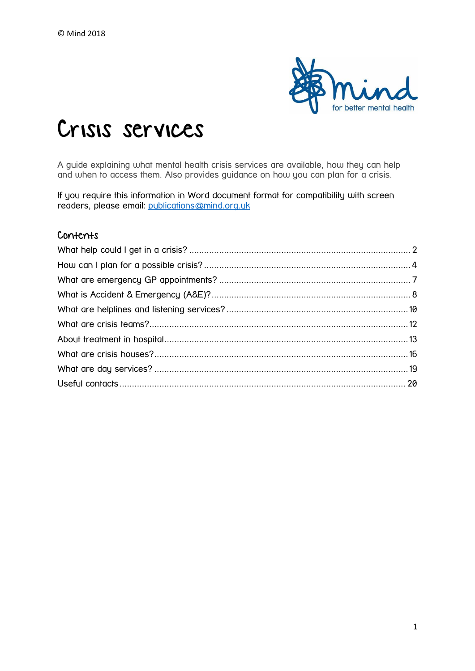

# Crisis services

A guide explaining what mental health crisis services are available, how they can help and when to access them. Also provides guidance on how you can plan for a crisis.

If you require this information in Word document format for compatibility with screen readers, please email: [publications@mind.org.uk](mailto:publications@mind.org.uk)

#### Contents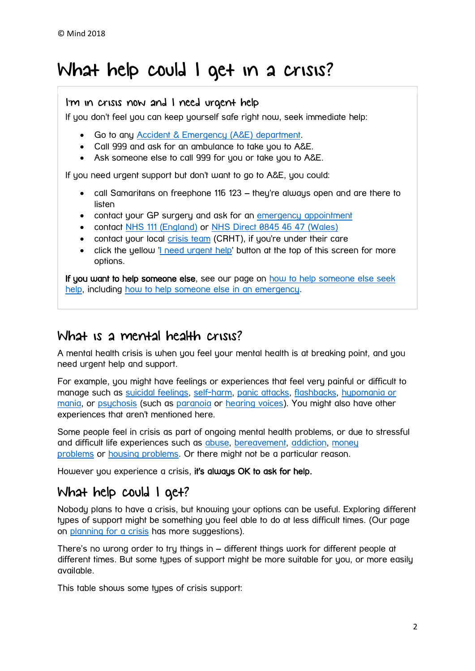## <span id="page-1-0"></span>What help could I get in a crisis?

I'm in crisis now and I need urgent help

If you don't feel you can keep yourself safe right now, seek immediate help:

- Go to any [Accident & Emergency \(A&E\) department.](https://www.mind.org.uk/information-support/guides-to-support-and-services/crisis-services/accident-emergency-ae/)
- Call 999 and ask for an ambulance to take you to A&E.
- Ask someone else to call 999 for you or take you to A&E.

If you need urgent support but don't want to go to A&E, you could:

- call Samaritans on freephone 116 123 they're always open and are there to listen
- contact your GP surgery and ask for an [emergency appointment](https://www.mind.org.uk/information-support/guides-to-support-and-services/crisis-services/emergency-gp-appointments/)
- contact [NHS 111 \(England\)](http://www.nhs.uk/NHSEngland/AboutNHSservices/Emergencyandurgentcareservices/Pages/NHS-111.aspx) or [NHS Direct 0845 46 47 \(Wales\)](http://www.nhsdirect.wales.nhs.uk/contactus/feelingunwell/)
- contact your local [crisis team](https://www.mind.org.uk/information-support/guides-to-support-and-services/crisis-services/crisis-teams-crhts/) (CRHT), if you're under their care
- click the yellow ['I need urgent help'](https://www.mind.org.uk/information-support/i-need-urgent-help/) button at the top of this screen for more options.

If you want to help someone else, see our page on how to help someone else seek [help,](https://www.mind.org.uk/information-support/guides-to-support-and-services/seeking-help-for-a-mental-health-problem/helping-someone-else-seek-help/) including [how to help someone else in an emergency.](https://www.mind.org.uk/information-support/guides-to-support-and-services/seeking-help-for-a-mental-health-problem/helping-someone-else-seek-help/#emergency)

### What is a mental health crisis?

A mental health crisis is when you feel your mental health is at breaking point, and you need urgent help and support.

For example, you might have feelings or experiences that feel very painful or difficult to manage such as [suicidal feelings,](https://www.mind.org.uk/information-support/types-of-mental-health-problems/suicidal-feelings/) [self-harm,](https://www.mind.org.uk/information-support/types-of-mental-health-problems/self-harm/) [panic attacks,](https://www.mind.org.uk/information-support/types-of-mental-health-problems/anxiety-and-panic-attacks/panic-attacks/) [flashbacks,](https://www.mind.org.uk/information-support/types-of-mental-health-problems/post-traumatic-stress-disorder-ptsd/symptoms-of-ptsd/) [hypomania or](https://www.mind.org.uk/information-support/types-of-mental-health-problems/hypomania-and-mania/)  [mania,](https://www.mind.org.uk/information-support/types-of-mental-health-problems/hypomania-and-mania/) or [psychosis](https://www.mind.org.uk/information-support/types-of-mental-health-problems/psychosis/) (such as [paranoia](https://www.mind.org.uk/information-support/types-of-mental-health-problems/paranoia/) or [hearing voices\)](https://www.mind.org.uk/information-support/types-of-mental-health-problems/hearing-voices/). You might also have other experiences that aren't mentioned here.

Some people feel in crisis as part of ongoing mental health problems, or due to stressful and difficult life experiences such as [abuse,](https://www.mind.org.uk/information-support/guides-to-support-and-services/abuse/) [bereavement,](https://www.mind.org.uk/information-support/guides-to-support-and-services/bereavement/) [addiction,](https://www.mind.org.uk/information-support/guides-to-support-and-services/addiction-and-dependency/) [money](https://www.mind.org.uk/information-support/tips-for-everyday-living/money-and-mental-health/)  [problems](https://www.mind.org.uk/information-support/tips-for-everyday-living/money-and-mental-health/) or [housing problems.](https://www.mind.org.uk/information-support/guides-to-support-and-services/housing/) Or there might not be a particular reason.

However you experience a crisis, it's always OK to ask for help.

### What help could I get?

Nobody plans to have a crisis, but knowing your options can be useful. Exploring different types of support might be something you feel able to do at less difficult times. (Our page on [planning for a crisis](https://www.mind.org.uk/information-support/guides-to-support-and-services/crisis-services/planning-for-a-crisis/) has more suggestions).

There's no wrong order to try things in – different things work for different people at different times. But some types of support might be more suitable for you, or more easily available.

This table shows some types of crisis support: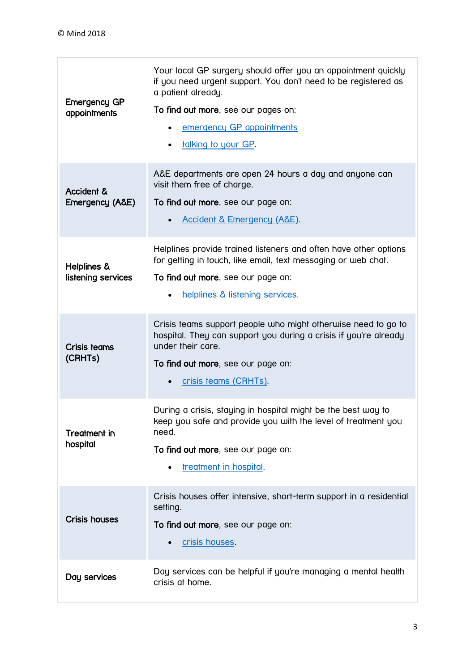| <b>Emergency GP</b><br>appointments | Your local GP surgery should offer you an appointment quickly<br>if you need urgent support. You don't need to be registered as<br>a patient already.<br>To find out more, see our pages on:<br>emergency GP appointments<br>talking to your GP. |
|-------------------------------------|--------------------------------------------------------------------------------------------------------------------------------------------------------------------------------------------------------------------------------------------------|
| Accident &<br>Emergency (A&E)       | A&E departments are open 24 hours a day and anyone can<br>visit them free of charge.<br>To find out more, see our page on:<br>Accident & Emergency (A&E).                                                                                        |
| Helplines &<br>listening services   | Helplines provide trained listeners and often have other options<br>for getting in touch, like email, text messaging or web chat.<br>To find out more, see our page on:<br>helplines & listening services.                                       |
| Crisis teams<br>(CRHTs)             | Crisis teams support people who might otherwise need to go to<br>hospital. They can support you during a crisis if you're already<br>under their care.<br>To find out more, see our page on:<br>crisis teams (CRHTs).                            |
| Treatment in<br>hospital            | During a crisis, staying in hospital might be the best way to<br>keep you safe and provide you with the level of treatment you<br>need.<br>To find out more, see our page on:<br>treatment in hospital.                                          |
| <b>Crisis houses</b>                | Crisis houses offer intensive, short-term support in a residential<br>setting.<br>To find out more, see our page on:<br>crisis houses.                                                                                                           |
| Day services                        | Day services can be helpful if you're managing a mental health<br>crisis at home.                                                                                                                                                                |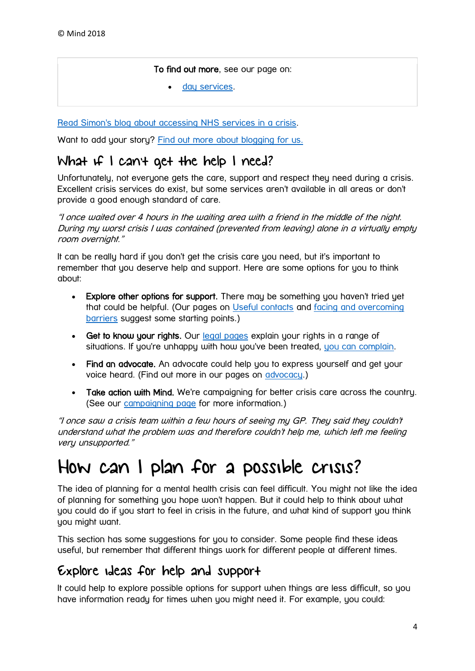#### To find out more, see our page on:

[day services.](https://www.mind.org.uk/information-support/guides-to-support-and-services/crisis-services/day-services/)

[Read Simon's blog about accessing NHS services in a crisis.](https://www.mind.org.uk/information-support/your-stories/accessing-nhs-services-in-a-crisis/#.W6iou_lRdrS)

Want to add your story? [Find out more about blogging for us.](https://www.mind.org.uk/information-support/your-stories/about-the-mind-blog/telling-your-story-blogging-or-vlogging-for-mind/)

### What if I can't get the help I need?

Unfortunately, not everyone gets the care, support and respect they need during a crisis. Excellent crisis services do exist, but some services aren't available in all areas or don't provide a good enough standard of care.

"I once waited over 4 hours in the waiting area with a friend in the middle of the night. During my worst crisis I was contained (prevented from leaving) alone in a virtually empty room overnight."

It can be really hard if you don't get the crisis care you need, but it's important to remember that you deserve help and support. Here are some options for you to think about:

- Explore other options for support. There may be something you haven't tried yet that could be helpful. (Our pages on [Useful contacts](https://www.mind.org.uk/information-support/guides-to-support-and-services/crisis-services/useful-contacts/) and [facing and overcoming](https://www.mind.org.uk/information-support/guides-to-support-and-services/seeking-help-for-a-mental-health-problem/facing-overcoming-barriers/)  [barriers](https://www.mind.org.uk/information-support/guides-to-support-and-services/seeking-help-for-a-mental-health-problem/facing-overcoming-barriers/) suggest some starting points.)
- Get to know your rights. Our [legal pages](https://www.mind.org.uk/information-support/legal-rights/) explain your rights in a range of situations. If you're unhappy with how you've been treated, [you can complain.](https://www.mind.org.uk/information-support/legal-rights/complaining-about-health-and-social-care/)
- Find an advocate. An advocate could help you to express yourself and get your voice heard. (Find out more in our pages on [advocacy.](https://www.mind.org.uk/information-support/guides-to-support-and-services/advocacy/))
- Take action with Mind. We're campaigning for better crisis care across the country. (See our [campaigning page](https://www.mind.org.uk/news-campaigns/campaigns/) for more information.)

"I once saw a crisis team within a few hours of seeing my GP. They said they couldn't understand what the problem was and therefore couldn't help me, which left me feeling very unsupported."

## <span id="page-3-0"></span>How can I plan for a possible crisis?

The idea of planning for a mental health crisis can feel difficult. You might not like the idea of planning for something you hope won't happen. But it could help to think about what you could do if you start to feel in crisis in the future, and what kind of support you think you might want.

This section has some suggestions for you to consider. Some people find these ideas useful, but remember that different things work for different people at different times.

### Explore ideas for help and support

It could help to explore possible options for support when things are less difficult, so you have information ready for times when you might need it. For example, you could: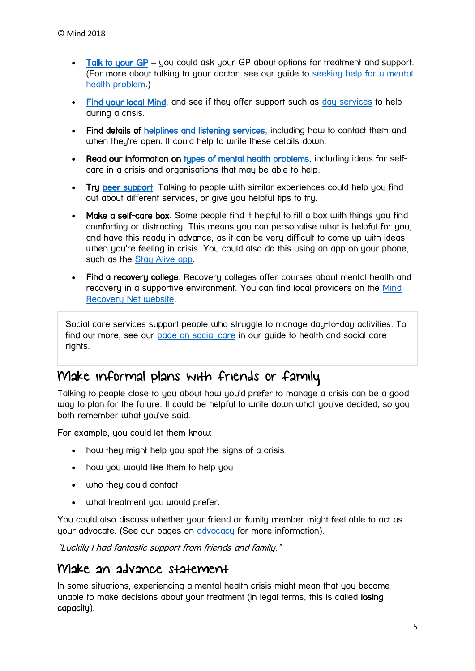- [Talk to your GP](https://www.mind.org.uk/information-support/guides-to-support-and-services/seeking-help-for-a-mental-health-problem/talking-to-your-gp/) you could ask your GP about options for treatment and support. (For more about talking to your doctor, see our guide to [seeking help for a mental](https://www.mind.org.uk/information-support/guides-to-support-and-services/seeking-help-for-a-mental-health-problem/)  [health problem.](https://www.mind.org.uk/information-support/guides-to-support-and-services/seeking-help-for-a-mental-health-problem/))
- [Find your local Mind,](https://www.mind.org.uk/information-support/local-minds/) and see if they offer support such as [day services](https://www.mind.org.uk/information-support/guides-to-support-and-services/crisis-services/day-services/) to help during a crisis.
- Find details of [helplines and listening services,](https://www.mind.org.uk/information-support/guides-to-support-and-services/crisis-services/helplines-listening-services/) including how to contact them and when they're open. It could help to write these details down.
- Read our information on [types of mental health problems,](https://www.mind.org.uk/information-support/types-of-mental-health-problems/) including ideas for selfcare in a crisis and organisations that may be able to help.
- Try [peer support.](https://www.mind.org.uk/information-support/drugs-and-treatments/peer-support/) Talking to people with similar experiences could help you find out about different services, or give you helpful tips to try.
- Make a self-care box. Some people find it helpful to fill a box with things you find comforting or distracting. This means you can personalise what is helpful for you, and have this ready in advance, as it can be very difficult to come up with ideas when you're feeling in crisis. You could also do this using an app on your phone, such as the [Stay Alive app.](https://www.prevent-suicide.org.uk/stay_alive_suicide_prevention_mobile_phone_application.html)
- Find a recovery college. Recovery colleges offer courses about mental health and recovery in a supportive environment. You can find local providers on the [Mind](http://mindrecoverynet.org.uk/providers)  [Recovery Net website.](http://mindrecoverynet.org.uk/providers)

Social care services support people who struggle to manage day-to-day activities. To find out more, see our [page on social care](https://www.mind.org.uk/information-support/legal-rights/health-and-social-care-rights/about-social-care/) in our guide to health and social care rights.

### Make informal plans with friends or family

Talking to people close to you about how you'd prefer to manage a crisis can be a good way to plan for the future. It could be helpful to write down what you've decided, so you both remember what you've said.

For example, you could let them know:

- how they might help you spot the signs of a crisis
- how you would like them to help you
- who they could contact
- what treatment you would prefer.

You could also discuss whether your friend or family member might feel able to act as your advocate. (See our pages on [advocacy](https://www.mind.org.uk/information-support/guides-to-support-and-services/advocacy/) for more information).

"Luckily I had fantastic support from friends and family."

### Make an advance statement

In some situations, experiencing a mental health crisis might mean that you become unable to make decisions about your treatment (in legal terms, this is called losing capacity).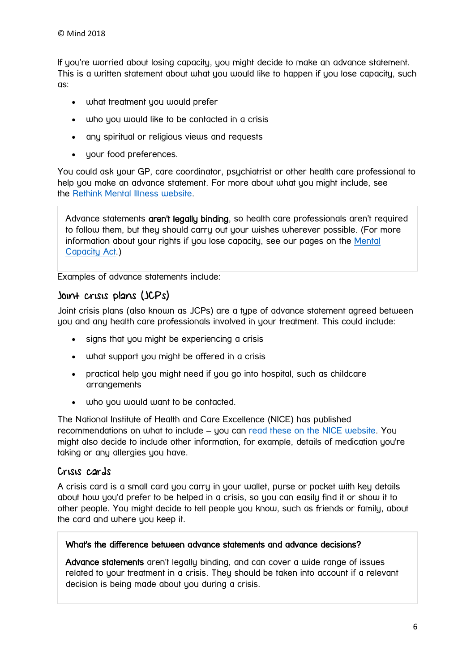If you're worried about losing capacity, you might decide to make an advance statement. This is a written statement about what you would like to happen if you lose capacity, such as:

- what treatment you would prefer
- who you would like to be contacted in a crisis
- any spiritual or religious views and requests
- your food preferences.

You could ask your GP, care coordinator, psychiatrist or other health care professional to help you make an advance statement. For more about what you might include, see the [Rethink Mental Illness website.](https://www.rethink.org/living-with-mental-illness/rights-restrictions/planning-your-care-advance-statements/how)

Advance statements aren't legally binding, so health care professionals aren't required to follow them, but they should carry out your wishes wherever possible. (For more information about your rights if you lose capacity, see our pages on the [Mental](https://www.mind.org.uk/information-support/legal-rights/mental-capacity-act-2005/)  [Capacity Act.](https://www.mind.org.uk/information-support/legal-rights/mental-capacity-act-2005/))

Examples of advance statements include:

#### Joint crisis plans (JCPs)

Joint crisis plans (also known as JCPs) are a type of advance statement agreed between you and any health care professionals involved in your treatment. This could include:

- signs that you might be experiencing a crisis
- what support you might be offered in a crisis
- practical help you might need if you go into hospital, such as childcare arrangements
- who you would want to be contacted.

The National Institute of Health and Care Excellence (NICE) has published recommendations on what to include – you can [read these on the NICE website.](https://www.nice.org.uk/guidance/qs14/chapter/quality-statement-9-crisis-planning#definitions-3) You might also decide to include other information, for example, details of medication you're taking or any allergies you have.

#### Crisis cards

A crisis card is a small card you carry in your wallet, purse or pocket with key details about how you'd prefer to be helped in a crisis, so you can easily find it or show it to other people. You might decide to tell people you know, such as friends or family, about the card and where you keep it.

#### What's the difference between advance statements and advance decisions?

Advance statements aren't legally binding, and can cover a wide range of issues related to your treatment in a crisis. They should be taken into account if a relevant decision is being made about you during a crisis.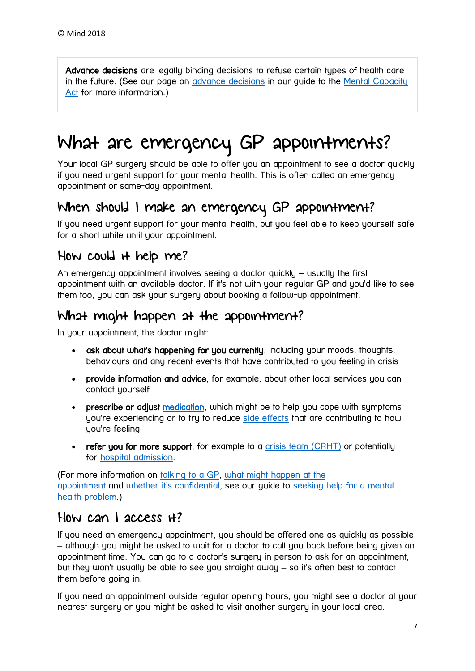Advance decisions are legally binding decisions to refuse certain types of health care in the future. (See our page on [advance decisions](https://www.mind.org.uk/information-support/legal-rights/mental-capacity-act-2005/advance-decisions/) in our guide to the [Mental Capacity](https://www.mind.org.uk/information-support/legal-rights/mental-capacity-act-2005/)  [Act](https://www.mind.org.uk/information-support/legal-rights/mental-capacity-act-2005/) for more information.)

# <span id="page-6-0"></span>What are emergency GP appointments?

Your local GP surgery should be able to offer you an appointment to see a doctor quickly if you need urgent support for your mental health. This is often called an emergency appointment or same-day appointment.

### When should I make an emergency GP appointment?

If you need urgent support for your mental health, but you feel able to keep yourself safe for a short while until your appointment.

### How could it help me?

An emergency appointment involves seeing a doctor quickly – usually the first appointment with an available doctor. If it's not with your regular GP and you'd like to see them too, you can ask your surgery about booking a follow-up appointment.

### What might happen at the appointment?

In your appointment, the doctor might:

- ask about what's happening for you currently, including your moods, thoughts, behaviours and any recent events that have contributed to you feeling in crisis
- provide information and advice, for example, about other local services you can contact yourself
- **prescribe or adjust medication**, which might be to help you cope with symptoms you're experiencing or to try to reduce [side effects](https://www.mind.org.uk/information-support/drugs-and-treatments/medication/coping-with-side-effects/) that are contributing to how you're feeling
- refer you for more support, for example to a [crisis team \(CRHT\)](https://www.mind.org.uk/information-support/guides-to-support-and-services/crisis-services/crisis-teams-crhts/) or potentially for [hospital admission.](https://www.mind.org.uk/information-support/guides-to-support-and-services/crisis-services/treatment-in-hospital/)

(For more information on [talking to a GP,](https://www.mind.org.uk/information-support/guides-to-support-and-services/seeking-help-for-a-mental-health-problem/talking-to-your-gp/) [what might happen at the](https://www.mind.org.uk/information-support/guides-to-support-and-services/seeking-help-for-a-mental-health-problem/what-might-happen-at-a-gp-appointment/)  [appointment](https://www.mind.org.uk/information-support/guides-to-support-and-services/seeking-help-for-a-mental-health-problem/what-might-happen-at-a-gp-appointment/) and [whether it's confidential,](https://www.mind.org.uk/information-support/guides-to-support-and-services/seeking-help-for-a-mental-health-problem/what-might-happen-at-a-gp-appointment/#confidential) see our guide to [seeking help for a mental](https://www.mind.org.uk/information-support/guides-to-support-and-services/seeking-help-for-a-mental-health-problem/)  [health problem.](https://www.mind.org.uk/information-support/guides-to-support-and-services/seeking-help-for-a-mental-health-problem/))

### How can I access it?

If you need an emergency appointment, you should be offered one as quickly as possible – although you might be asked to wait for a doctor to call you back before being given an appointment time. You can go to a doctor's surgery in person to ask for an appointment, but they won't usually be able to see you straight away – so it's often best to contact them before going in.

If you need an appointment outside regular opening hours, you might see a doctor at your nearest surgery or you might be asked to visit another surgery in your local area.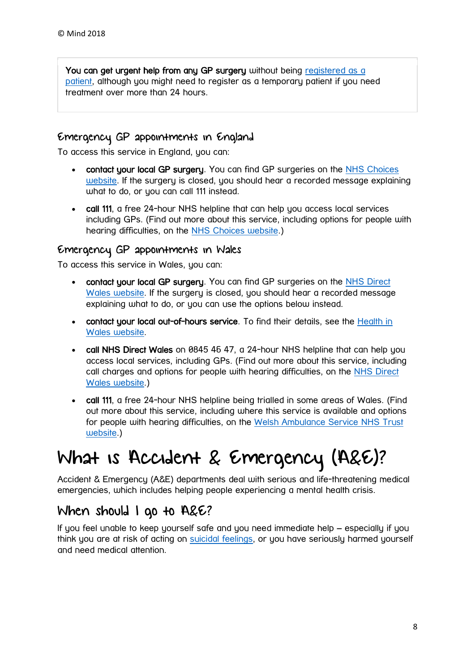You can get urgent help from any GP surgery without being registered as a [patient,](https://www.mind.org.uk/information-support/guides-to-support-and-services/seeking-help-for-a-mental-health-problem/talking-to-your-gp/#register) although you might need to register as a temporary patient if you need treatment over more than 24 hours.

#### Emergency GP appointments in England

To access this service in England, you can:

- contact your local GP surgery. You can find GP surgeries on the NHS Choices [website.](https://www.nhs.uk/Service-Search/) If the surgery is closed, you should hear a recorded message explaining what to do, or you can call 111 instead.
- call 111, a free 24-hour NHS helpline that can help you access local services including GPs. (Find out more about this service, including options for people with hearing difficulties, on the [NHS Choices website.](https://www.nhs.uk/NHSEngland/AboutNHSservices/Emergencyandurgentcareservices/Pages/NHS-111.aspx))

#### Emergency GP appointments in Wales

To access this service in Wales, you can:

- contact your local GP surgery. You can find GP surgeries on the NHS Direct [Wales website.](https://www.nhs.uk/Service-Search/) If the surgery is closed, you should hear a recorded message explaining what to do, or you can use the options below instead.
- contact your local out-of-hours service. To find their details, see the Health in [Wales website.](http://www.wales.nhs.uk/ourservices/gpoutofhoursservices)
- call NHS Direct Wales on 0845 46 47, a 24-hour NHS helpline that can help you access local services, including GPs. (Find out more about this service, including call charges and options for people with hearing difficulties, on the [NHS Direct](http://www.nhsdirect.wales.nhs.uk/contactus/feelingunwell/)  [Wales website.](http://www.nhsdirect.wales.nhs.uk/contactus/feelingunwell/))
- call 111, a free 24-hour NHS helpline being trialled in some areas of Wales. (Find out more about this service, including where this service is available and options for people with hearing difficulties, on the [Welsh Ambulance Service NHS Trust](http://www.was-tr.wales.nhs.uk/Default.aspx?pageId=315&lan=en)  [website.](http://www.was-tr.wales.nhs.uk/Default.aspx?pageId=315&lan=en))

## <span id="page-7-0"></span>What is Accident & Emergency (A&E)?

Accident & Emergency (A&E) departments deal with serious and life-threatening medical emergencies, which includes helping people experiencing a mental health crisis.

### When should I go to A&E?

If you feel unable to keep yourself safe and you need immediate help – especially if you think you are at risk of acting on [suicidal feelings,](https://www.mind.org.uk/information-support/types-of-mental-health-problems/suicidal-feelings/) or you have seriously harmed yourself and need medical attention.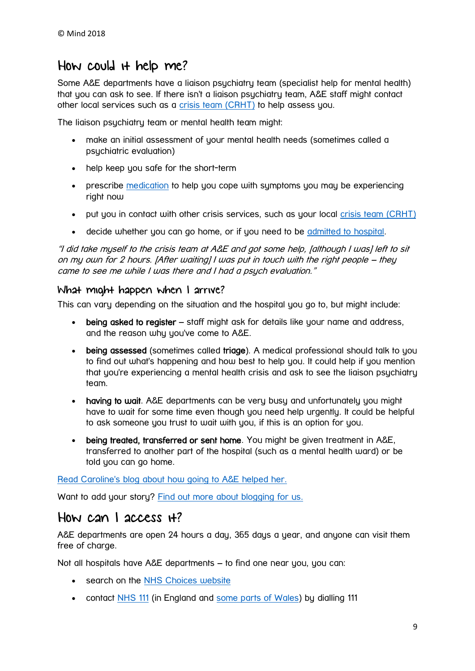### How could it help me?

Some A&E departments have a liaison psychiatry team (specialist help for mental health) that you can ask to see. If there isn't a liaison psychiatry team, A&E staff might contact other local services such as a crisis [team \(CRHT\)](https://www.mind.org.uk/information-support/guides-to-support-and-services/crisis-services/crisis-teams-crhts/) to help assess you.

The liaison psychiatry team or mental health team might:

- make an initial assessment of your mental health needs (sometimes called a psychiatric evaluation)
- help keep you safe for the short-term
- prescribe [medication](https://www.mind.org.uk/information-support/drugs-and-treatments/medication/) to help you cope with symptoms you may be experiencing right now
- put you in contact with other crisis services, such as your local [crisis team \(CRHT\)](https://www.mind.org.uk/information-support/guides-to-support-and-services/crisis-services/crisis-teams-crhts/)
- decide whether you can go home, or if you need to be [admitted to hospital.](https://www.mind.org.uk/information-support/guides-to-support-and-services/crisis-services/treatment-in-hospital/)

"I did take myself to the crisis team at A&E and got some help, [although I was] left to sit on my own for 2 hours. [After waiting] I was put in touch with the right people – they came to see me while I was there and I had a psuch evaluation."

#### What might happen when I arrive?

This can vary depending on the situation and the hospital you go to, but might include:

- being asked to register staff might ask for details like your name and address, and the reason why you've come to A&E.
- being assessed (sometimes called triage). A medical professional should talk to you to find out what's happening and how best to help you. It could help if you mention that you're experiencing a mental health crisis and ask to see the liaison psychiatry team.
- having to wait. A&E departments can be very busy and unfortunately you might have to wait for some time even though you need help urgently. It could be helpful to ask someone you trust to wait with you, if this is an option for you.
- being treated, transferred or sent home. You might be given treatment in A&E, transferred to another part of the hospital (such as a mental health ward) or be told you can go home.

Read Caroline's blog about [how going to A&E helped her.](https://www.mind.org.uk/information-support/your-stories/how-going-to-ae-helped-me/#.WwaLPqkh2gP)

Want to add your story? [Find out more about blogging for us.](https://www.mind.org.uk/information-support/your-stories/about-the-mind-blog/telling-your-story-blogging-or-vlogging-for-mind/)

### How can I access  $H$ ?

A&E departments are open 24 hours a day, 365 days a year, and anyone can visit them free of charge.

Not all hospitals have A&E departments – to find one near you, you can:

- **•** search on the **NHS** Choices website
- contact [NHS 111](http://www.nhs.uk/NHSEngland/AboutNHSservices/Emergencyandurgentcareservices/Pages/NHS-111.aspx) (in England and [some parts of Wales\)](http://www.was-tr.wales.nhs.uk/Default.aspx?pageId=315&lan=en) by dialling 111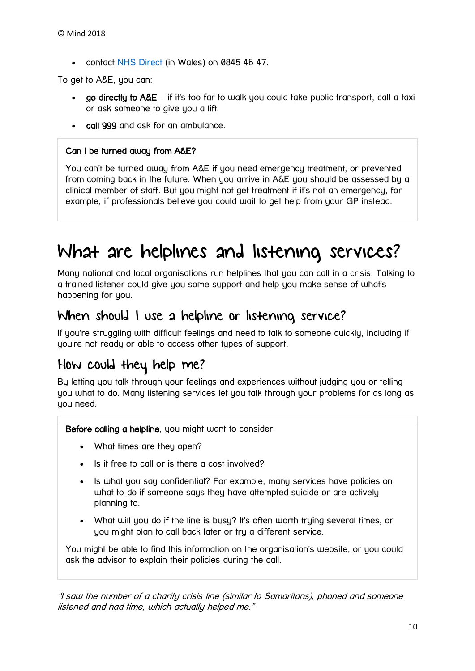• contact [NHS Direct](http://www.nhsdirect.wales.nhs.uk/) (in Wales) on 0845 46 47.

To get to A&E, you can:

- go directly to A&E if it's too far to walk you could take public transport, call a taxi or ask someone to give you a lift.
- call 999 and ask for an ambulance.

#### Can I be turned away from A&E?

You can't be turned away from A&E if you need emergency treatment, or prevented from coming back in the future. When you arrive in A&E you should be assessed by a clinical member of staff. But you might not get treatment if it's not an emergency, for example, if professionals believe you could wait to get help from your GP instead.

## <span id="page-9-0"></span>What are helplines and listening services?

Many national and local organisations run helplines that you can call in a crisis. Talking to a trained listener could give you some support and help you make sense of what's happening for you.

#### When should I use a helpline or listening service?

If you're struggling with difficult feelings and need to talk to someone quickly, including if you're not ready or able to access other types of support.

### How could they help me?

By letting you talk through your feelings and experiences without judging you or telling you what to do. Many listening services let you talk through your problems for as long as you need.

Before calling a helpline, you might want to consider:

- What times are they open?
- Is it free to call or is there a cost involved?
- Is what you say confidential? For example, many services have policies on what to do if someone says they have attempted suicide or are actively planning to.
- What will you do if the line is busy? It's often worth trying several times, or you might plan to call back later or try a different service.

You might be able to find this information on the organisation's website, or you could ask the advisor to explain their policies during the call.

"I saw the number of a charity crisis line (similar to Samaritans), phoned and someone listened and had time, which actually helped me."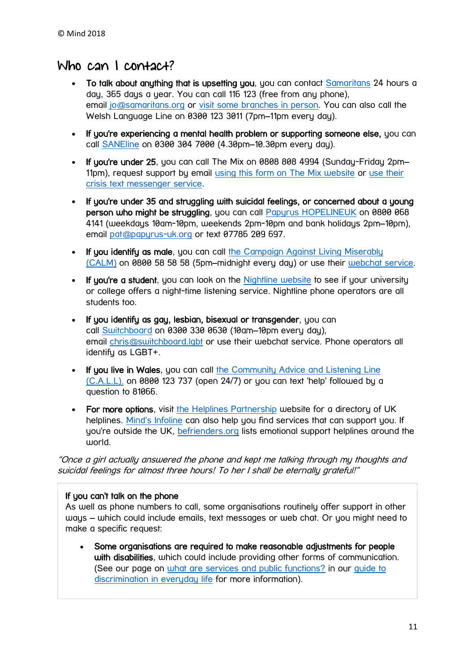### Who can I contact?

- To talk about anything that is upsetting you, you can contact [Samaritans](http://www.samaritans.org/) 24 hours a day, 365 days a year. You can call 116 123 (free from any phone), email [jo@samaritans.org](mailto:jo@samaritans.org) or [visit some branches in person.](https://www.samaritans.org/branches) You can also call the Welsh Language Line on 0300 123 3011 (7pm–11pm every day).
- If you're experiencing a mental health problem or supporting someone else, you can call [SANEline](http://www.sane.org.uk/what_we_do/support/helpline) on 0300 304 7000 (4.30pm–10.30pm every day).
- If you're under 25, you can call The Mix on 0808 808 4994 (Sunday-Friday 2pm– 11pm), request support by email [using this form on The Mix website](https://www.themix.org.uk/get-support/speak-to-our-team/email-us) or [use their](https://www.themix.org.uk/get-support/speak-to-our-team/email-us)  [crisis text messenger service.](https://www.themix.org.uk/get-support/speak-to-our-team/email-us)
- If you're under 35 and struggling with suicidal feelings, or concerned about a young person who might be struggling, you can call [Papyrus HOPELINEUK](https://www.papyrus-uk.org/) on 0800 068 4141 (weekdays 10am-10pm, weekends 2pm-10pm and bank holidays 2pm–10pm), email [pat@papyrus-uk.org](mailto:pat@papyrus-uk.org) or text 07786 209 697.
- If you identify as male, you can call the Campaign Against Living Miserably [\(CALM\)](https://www.thecalmzone.net/) on 0800 58 58 58 (5pm–midnight every day) or use their [webchat service.](https://www.thecalmzone.net/help/webchat/)
- If you're a student, you can look on the [Nightline website](http://nightline.ac.uk/want-to-talk/) to see if your university or college offers a night-time listening service. Nightline phone operators are all students too.
- If you identify as gay, lesbian, bisexual or transgender, you can call [Switchboard](https://switchboard.lgbt/) on 0300 330 0630 (10am–10pm every day), email [chris@switchboard.lgbt](mailto:chris@switchboard.lgbt) or use their webchat service. Phone operators all identify as LGBT+.
- If you live in Wales, you can call the Community Advice and Listening Line [\(C.A.L.L\).](http://www.callhelpline.org.uk/) on 0800 123 737 (open 24/7) or you can text 'help' followed by a question to 81066.
- For more options, visit [the Helplines Partnership](https://helplines.org/helplines/) website for a directory of UK helplines. [Mind's Infoline](https://www.mind.org.uk/information-support/helplines/) can also help you find services that can support you. If you're outside the UK, [befrienders.org](https://www.befrienders.org/directory) lists emotional support helplines around the world.

"Once a girl actually answered the phone and kept me talking through my thoughts and suicidal feelings for almost three hours! To her I shall be eternally grateful!"

#### If you can't talk on the phone

As well as phone numbers to call, some organisations routinely offer support in other ways – which could include emails, text messages or web chat. Or you might need to make a specific request:

 Some organisations are required to make reasonable adjustments for people with disabilities, which could include providing other forms of communication. (See our page on [what are services and public functions?](https://www.mind.org.uk/information-support/legal-rights/discrimination-in-everyday-life/what-are-services-and-public-functions/) in our [guide to](https://www.mind.org.uk/information-support/legal-rights/discrimination-in-everyday-life/)  [discrimination in everyday life](https://www.mind.org.uk/information-support/legal-rights/discrimination-in-everyday-life/) for more information).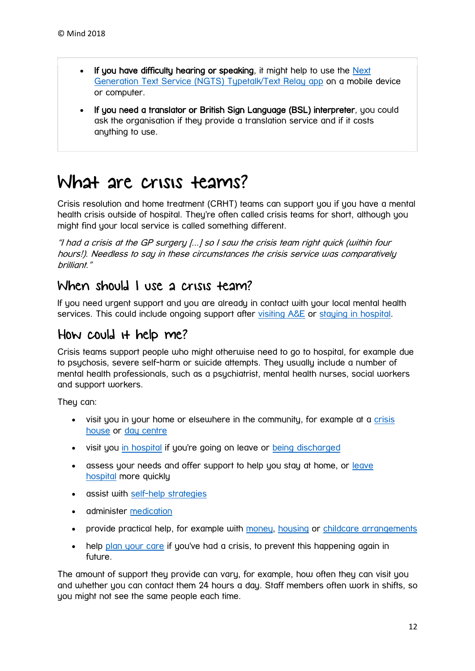- If you have difficulty hearing or speaking, it might help to use the Next [Generation Text Service \(NGTS\) Typetalk/Text Relay app](http://ngts.org.uk/) on a mobile device or computer.
- If you need a translator or British Sign Language (BSL) interpreter, you could ask the organisation if they provide a translation service and if it costs anything to use.

## <span id="page-11-0"></span>What are crisis teams?

Crisis resolution and home treatment (CRHT) teams can support you if you have a mental health crisis outside of hospital. They're often called crisis teams for short, although you might find your local service is called something different.

"I had a crisis at the GP surgery [...] so I saw the crisis team right quick (within four hours!). Needless to say in these circumstances the crisis service was comparatively brilliant."

### When should I use a crisis team?

If you need urgent support and you are already in contact with your local mental health services. This could include ongoing support after [visiting A&E](https://www.mind.org.uk/information-support/guides-to-support-and-services/crisis-services/accident-emergency-ae/) or [staying in hospital.](https://www.mind.org.uk/information-support/guides-to-support-and-services/crisis-services/treatment-in-hospital/)

### How could it help me?

Crisis teams support people who might otherwise need to go to hospital, for example due to psychosis, severe self-harm or suicide attempts. They usually include a number of mental health professionals, such as a psychiatrist, mental health nurses, social workers and support workers.

They can:

- visit you in your home or elsewhere in the community, for example at a crisis [house](https://www.mind.org.uk/information-support/guides-to-support-and-services/crisis-services/crisis-houses/) or [day centre](https://www.mind.org.uk/information-support/guides-to-support-and-services/crisis-services/day-services/)
- visit you [in hospital](https://www.mind.org.uk/information-support/guides-to-support-and-services/crisis-services/treatment-in-hospital/) if you're going on leave or [being discharged](https://www.mind.org.uk/information-support/legal-rights/leaving-hospital/)
- assess your needs and offer support to help you stay at home, or leave [hospital](https://www.mind.org.uk/information-support/legal-rights/leaving-hospital/) more quickly
- assist with [self-help strategies](https://www.mind.org.uk/information-support/types-of-mental-health-problems/mental-health-problems-introduction/self-care/)
- **•** administer [medication](https://www.mind.org.uk/information-support/drugs-and-treatments/medication/)
- provide practical help, for example with [money,](https://www.mind.org.uk/information-support/tips-for-everyday-living/money-and-mental-health/) [housing](https://www.mind.org.uk/information-support/guides-to-support-and-services/housing/) or childcare [arrangements](https://www.mind.org.uk/information-support/tips-for-everyday-living/parenting-with-a-mental-health-problem/crises/)
- help [plan your care](https://www.mind.org.uk/information-support/guides-to-support-and-services/crisis-services/planning-for-a-crisis/) if you've had a crisis, to prevent this happening again in future.

The amount of support they provide can vary, for example, how often they can visit you and whether you can contact them 24 hours a day. Staff members often work in shifts, so you might not see the same people each time.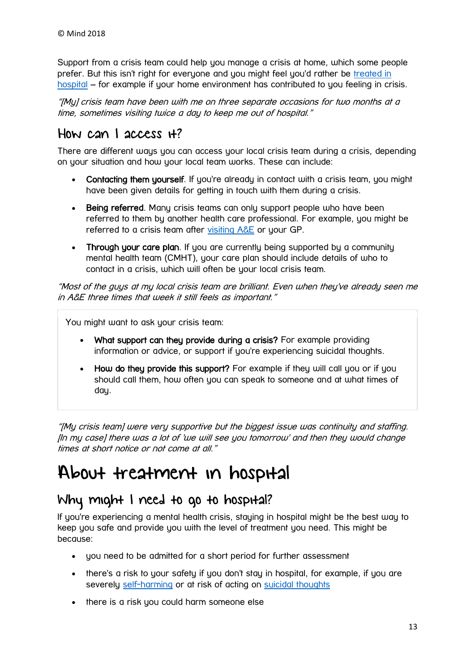Support from a crisis team could help you manage a crisis at home, which some people prefer. But this isn't right for everyone and you might feel you'd rather be [treated in](https://www.mind.org.uk/information-support/guides-to-support-and-services/crisis-services/treatment-in-hospital/)  [hospital](https://www.mind.org.uk/information-support/guides-to-support-and-services/crisis-services/treatment-in-hospital/) – for example if your home environment has contributed to you feeling in crisis.

"[My] crisis team have been with me on three separate occasions for two months at a time, sometimes visiting twice a day to keep me out of hospital."

### How can I access it?

There are different ways you can access your local crisis team during a crisis, depending on your situation and how your local team works. These can include:

- Contacting them yourself. If you're already in contact with a crisis team, you might have been given details for getting in touch with them during a crisis.
- Being referred. Many crisis teams can only support people who have been referred to them by another health care professional. For example, you might be referred to a crisis team after [visiting A&E](https://www.mind.org.uk/information-support/guides-to-support-and-services/crisis-services/accident-emergency-ae/) or your GP.
- Through your care plan. If you are currently being supported by a community mental health team (CMHT), your care plan should include details of who to contact in a crisis, which will often be your local crisis team.

"Most of the guys at my local crisis team are brilliant. Even when they've already seen me in A&E three times that week it still feels as important."

You might want to ask your crisis team:

- What support can they provide during a crisis? For example providing information or advice, or support if you're experiencing suicidal thoughts.
- How do they provide this support? For example if they will call you or if you should call them, how often you can speak to someone and at what times of day.

"[My crisis team] were very supportive but the biggest issue was continuity and staffing. [In my case] there was a lot of 'we will see you tomorrow' and then they would change times at short notice or not come at all."

## <span id="page-12-0"></span>About treatment in hospital

### Why might I need to go to hospital?

If you're experiencing a mental health crisis, staying in hospital might be the best way to keep you safe and provide you with the level of treatment you need. This might be because:

- you need to be admitted for a short period for further assessment
- there's a risk to your safety if you don't stay in hospital, for example, if you are severely [self-harming](https://www.mind.org.uk/information-support/types-of-mental-health-problems/self-harm/) or at risk of acting on [suicidal thoughts](https://www.mind.org.uk/information-support/types-of-mental-health-problems/suicidal-feelings/)
- there is a risk you could harm someone else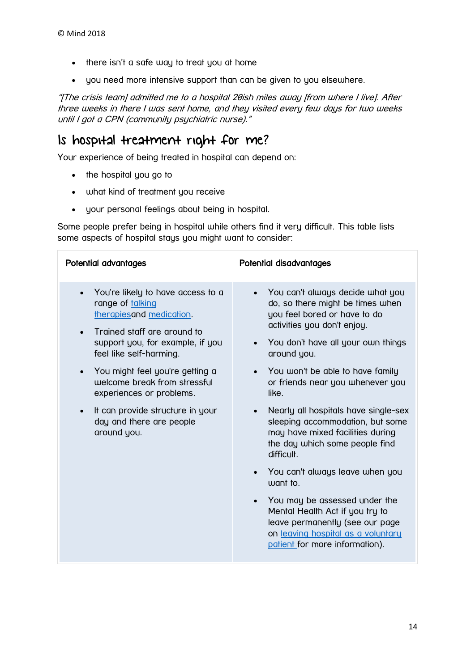- there isn't a safe way to treat you at home
- you need more intensive support than can be given to you elsewhere.

"[The crisis team] admitted me to a hospital 20ish miles away [from where I live]. After three weeks in there I was sent home, and they visited every few days for two weeks until I got a CPN (community psychiatric nurse)."

### Is hospital treatment right for me?

Your experience of being treated in hospital can depend on:

- the hospital you go to
- what kind of treatment you receive
- your personal feelings about being in hospital.

Some people prefer being in hospital while others find it very difficult. This table lists some aspects of hospital stays you might want to consider:

| Potential advantages                                                                                                                                                                                      | Potential disadvantages                                                                                                                                                                  |
|-----------------------------------------------------------------------------------------------------------------------------------------------------------------------------------------------------------|------------------------------------------------------------------------------------------------------------------------------------------------------------------------------------------|
| You're likely to have access to a<br>$\bullet$<br>range of talking<br>therapiesand medication.<br>Trained staff are around to<br>$\bullet$<br>support you, for example, if you<br>feel like self-harming. | You can't always decide what you<br>do, so there might be times when<br>you feel bored or have to do<br>activities you don't enjoy.<br>You don't have all your own things<br>around you. |
| You might feel you're getting a<br>$\bullet$<br>welcome break from stressful<br>experiences or problems.                                                                                                  | You won't be able to have family<br>or friends near you whenever you<br>like.                                                                                                            |
| It can provide structure in your<br>$\bullet$<br>day and there are people<br>around you.                                                                                                                  | Nearly all hospitals have single-sex<br>sleeping accommodation, but some<br>may have mixed facilities during<br>the day which some people find<br>difficult.                             |
|                                                                                                                                                                                                           | You can't always leave when you<br>want to.                                                                                                                                              |
|                                                                                                                                                                                                           | You may be assessed under the<br>Mental Health Act if you try to<br>leave permanently (see our page<br>on leaving hospital as a voluntary<br>patient for more information).              |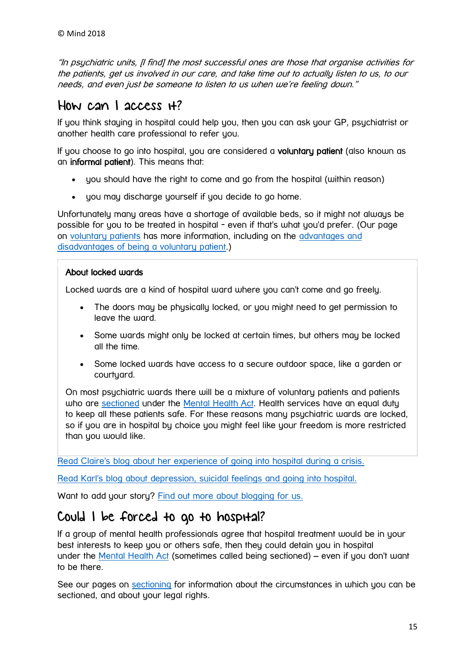"In psychiatric units, [I find] the most successful ones are those that organise activities for the patients, get us involved in our care, and take time out to actually listen to us, to our needs, and even just be someone to listen to us when we're feeling down."

### How can I access it?

If you think staying in hospital could help you, then you can ask your GP, psychiatrist or another health care professional to refer you.

If you choose to go into hospital, you are considered a voluntary patient (also known as an informal patient). This means that:

- you should have the right to come and go from the hospital (within reason)
- you may discharge yourself if you decide to go home.

Unfortunately many areas have a shortage of available beds, so it might not always be possible for you to be treated in hospital - even if that's what you'd prefer. (Our page on [voluntary patients](https://www.mind.org.uk/information-support/legal-rights/voluntary-patients/) has more information, including on the [advantages and](https://www.mind.org.uk/information-support/legal-rights/voluntary-patients/about-voluntary-patients/#four)  [disadvantages of being a voluntary patient.](https://www.mind.org.uk/information-support/legal-rights/voluntary-patients/about-voluntary-patients/#four))

#### About locked wards

Locked wards are a kind of hospital ward where you can't come and go freely.

- The doors may be physically locked, or you might need to get permission to leave the ward.
- Some wards might only be locked at certain times, but others may be locked all the time.
- Some locked wards have access to a secure outdoor space, like a garden or courtyard.

On most psychiatric wards there will be a mixture of voluntary patients and patients who are [sectioned](https://www.mind.org.uk/information-support/legal-rights/sectioning/) under the [Mental Health Act.](https://www.mind.org.uk/information-support/legal-rights/mental-health-act-1983/) Health services have an equal duty to keep all these patients safe. For these reasons many psychiatric wards are locked, so if you are in hospital by choice you might feel like your freedom is more restricted than you would like.

[Read Claire's blog about her experience of going into hospital during a crisis.](https://www.mind.org.uk/information-support/your-stories/in-crisis-my-experience/#.WwLW5ooh0l3)

[Read Karl's blog about depression, suicidal feelings and going into hospital.](https://www.mind.org.uk/information-support/your-stories/my-experience-of-crisis-care-depression-and-speaking-out/#.WwLWnIoh0l3)

Want to add your story? [Find out more about blogging for us.](https://www.mind.org.uk/information-support/your-stories/about-the-mind-blog/telling-your-story-blogging-or-vlogging-for-mind/)

### Could I be forced to go to hospital?

If a group of mental health professionals agree that hospital treatment would be in your best interests to keep you or others safe, then they could detain you in hospital under the [Mental Health Act](https://www.mind.org.uk/information-support/legal-rights/mental-health-act-1983/) (sometimes called being sectioned) – even if you don't want to be there.

See our pages on [sectioning](https://www.mind.org.uk/information-support/legal-rights/sectioning/) for information about the circumstances in which you can be sectioned, and about your legal rights.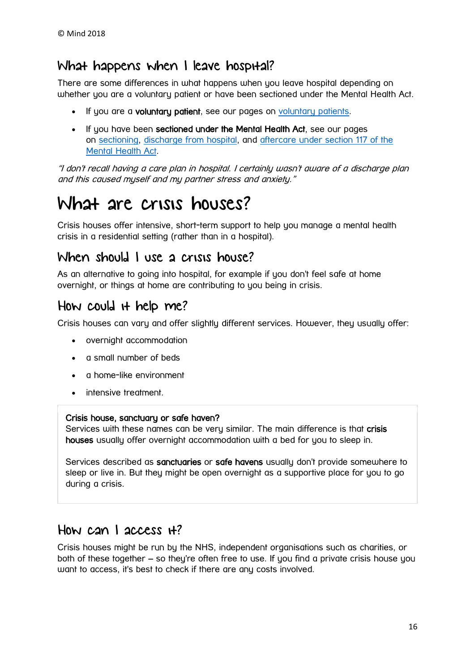### What happens when I leave hospital?

There are some differences in what happens when you leave hospital depending on whether you are a voluntary patient or have been sectioned under the Mental Health Act.

- If you are a voluntary patient, see our pages on [voluntary patients.](https://www.mind.org.uk/information-support/legal-rights/voluntary-patients/)
- If you have been sectioned under the Mental Health Act, see our pages on [sectioning,](https://www.mind.org.uk/information-support/legal-rights/sectioning/) [discharge from hospital,](https://www.mind.org.uk/information-support/legal-rights/leaving-hospital/) and [aftercare under section 117 of the](https://www.mind.org.uk/information-support/legal-rights/leaving-hospital/section-117-aftercare/)  [Mental Health Act.](https://www.mind.org.uk/information-support/legal-rights/leaving-hospital/section-117-aftercare/)

"I don't recall having a care plan in hospital. I certainly wasn't aware of a discharge plan and this caused myself and my partner stress and anxiety."

## <span id="page-15-0"></span>What are crisis houses?

Crisis houses offer intensive, short-term support to help you manage a mental health crisis in a residential setting (rather than in a hospital).

### When should I use a crisis house?

As an alternative to going into hospital, for example if you don't feel safe at home overnight, or things at home are contributing to you being in crisis.

### How could it help me?

Crisis houses can vary and offer slightly different services. However, they usually offer:

- overnight accommodation
- a small number of beds
- a home-like environment
- intensive treatment.

#### Crisis house, sanctuary or safe haven?

Services with these names can be very similar. The main difference is that crisis houses usually offer overnight accommodation with a bed for you to sleep in.

Services described as sanctuaries or safe havens usually don't provide somewhere to sleep or live in. But they might be open overnight as a supportive place for you to go during a crisis.

### How can I access it?

Crisis houses might be run by the NHS, independent organisations such as charities, or both of these together – so they're often free to use. If you find a private crisis house you want to access, it's best to check if there are any costs involved.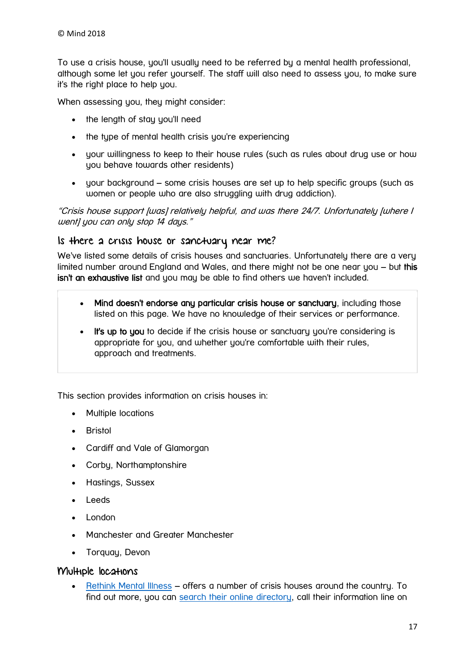To use a crisis house, you'll usually need to be referred by a mental health professional, although some let you refer yourself. The staff will also need to assess you, to make sure it's the right place to help you.

When assessing you, they might consider:

- the length of stay you'll need
- the type of mental health crisis you're experiencing
- your willingness to keep to their house rules (such as rules about drug use or how you behave towards other residents)
- your background some crisis houses are set up to help specific groups (such as women or people who are also struggling with drug addiction).

"Crisis house support [was] relatively helpful, and was there 24/7. Unfortunately [where I went] you can only stop 14 days."

#### Is there a crisis house or sanctuary near me?

We've listed some details of crisis houses and sanctuaries. Unfortunately there are a very limited number around England and Wales, and there might not be one near you – but this isn't an exhaustive list and you may be able to find others we haven't included.

- Mind doesn't endorse any particular crisis house or sanctuary, including those listed on this page. We have no knowledge of their services or performance.
- It's up to you to decide if the crisis house or sanctuary you're considering is appropriate for you, and whether you're comfortable with their rules, approach and treatments.

This section provides information on crisis houses in:

- Multiple locations
- Bristol
- Cardiff and Vale of Glamorgan
- Corby, Northamptonshire
- Hastings, Sussex
- Leeds
- London
- Manchester and Greater Manchester
- Torquay, Devon

#### Multiple locations

 [Rethink Mental Illness](https://www.rethink.org/) – offers a number of crisis houses around the country. To find out more, you can search their [online directory,](https://www.rethink.org/services-groups/service-types/crisis) call their information line on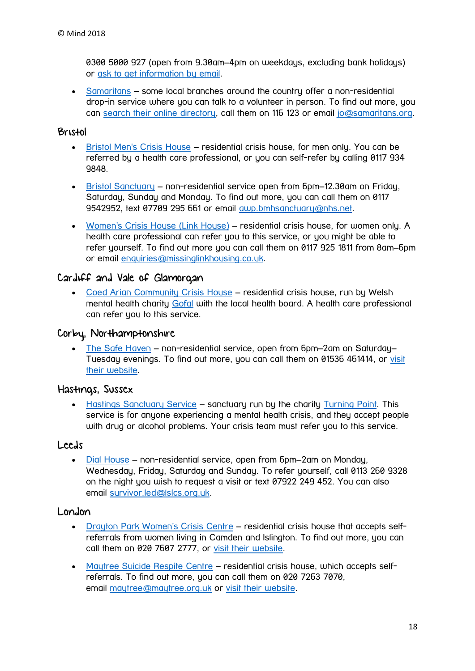0300 5000 927 (open from 9.30am–4pm on weekdays, excluding bank holidays) or [ask to get information by email.](https://www.rethink.org/about-us/our-mental-health-advice/contact-our-advice-service)

 [Samaritans](http://www.samaritans.org/) – some local branches around the country offer a non-residential drop-in service where you can talk to a volunteer in person. To find out more, you can [search their online directory,](https://www.samaritans.org/branches) call them on 116 123 or email [jo@samaritans.org.](mailto:jo@samaritans.org)

#### Bristol

- [Bristol Men's Crisis House](http://www.bristolmentalhealth.org/services/mens-crisis-house/) residential crisis house, for men only. You can be referred by a health care professional, or you can self-refer by calling 0117 934 9848.
- [Bristol Sanctuary](http://www.bristolmentalhealth.org/services/bristol-sanctuary/) non-residential service open from 6pm–12.30am on Friday, Saturday, Sunday and Monday. To find out more, you can call them on 0117 9542952, text 07709 295 661 or email [awp.bmhsanctuary@nhs.net.](mailto:awp.bmhsanctuary@nhs.net)
- [Women's Crisis House \(Link House\)](http://www.bristolmentalhealth.org/services/womens-crisis-house/) residential crisis house, for women only. A health care professional can refer you to this service, or you might be able to refer yourself. To find out more you can call them on 0117 925 1811 from 8am–6pm or email [enquiries@missinglinkhousing.co.uk.](mailto:enquiries@missinglinkhousing.co.uk)

#### Cardiff and Vale of Glamorgan

 [Coed Arian Community Crisis House](http://www.gofal.org.uk/crisis-intervention/) – residential crisis house, run by Welsh mental health charity [Gofal](http://www.gofal.org.uk/) with the local health board. A health care professional can refer you to this service.

#### Corby, Northamptonshire

 [The Safe Haven](http://www.safehavencorby.btck.co.uk/) – non-residential service, open from 6pm–2am on Saturday– Tuesday evenings. To find out more, you can call them on 01536 461414, or [visit](http://www.safehavencorby.btck.co.uk/)  [their website.](http://www.safehavencorby.btck.co.uk/)

#### Hastings, Sussex

 [Hastings Sanctuary Service](https://1space.eastsussex.gov.uk/Services/331/The-Sanctuary) – sanctuary run by the charity [Turning Point.](http://www.turning-point.co.uk/) This service is for anyone experiencing a mental health crisis, and they accept people with drug or alcohol problems. Your crisis team must refer you to this service.

#### Leeds

 [Dial House](http://www.lslcs.org.uk/how-can-we-help/dial-house) – non-residential service, open from 6pm–2am on Monday, Wednesday, Friday, Saturday and Sunday. To refer yourself, call 0113 260 9328 on the night you wish to request a visit or text 07922 249 452. You can also email [survivor.led@lslcs.org.uk.](mailto:survivor.led@lslcs.org.uk)

#### London

- [Drayton Park Women's Crisis Centre](http://www.candi.nhs.uk/services/drayton-park-womens-crisis-house-and-resource-centre) residential crisis house that accepts selfreferrals from women living in Camden and Islington. To find out more, you can call them on 020 7607 2777, or [visit their website.](https://www.candi.nhs.uk/services/drayton-park-womens-crisis-house-and-resource-centre)
- [Maytree Suicide Respite Centre](http://www.maytree.org.uk/) residential crisis house, which accepts selfreferrals. To find out more, you can call them on 020 7263 7070, email [maytree@maytree.org.uk](mailto:maytree@maytree.org.uk) or [visit their website.](http://www.maytree.org.uk/)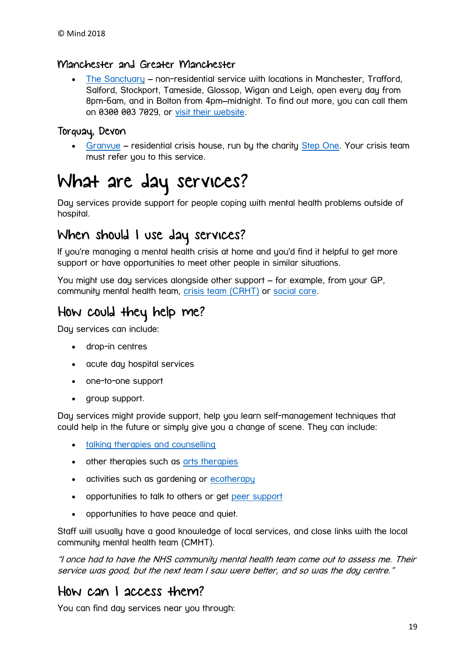#### Manchester and Greater Manchester

 [The Sanctuary](https://www.selfhelpservices.org.uk/shs_service/the-sanctuary/) – non-residential service with locations in Manchester, Trafford, Salford, Stockport, Tameside, Glossop, Wigan and Leigh, open every day from 8pm-6am, and in Bolton from 4pm–midnight. To find out more, you can call them on 0300 003 7029, or [visit their website.](https://www.selfhelpservices.org.uk/the-sanctuary/)

#### Torquay, Devon

 [Granvue](https://www.steponecharity.co.uk/crisis-support/crisis-house-granvue/) – residential crisis house, run by the charity [Step One.](https://www.steponecharity.co.uk/) Your crisis team must refer you to this service.

## <span id="page-18-0"></span>What are day services?

Day services provide support for people coping with mental health problems outside of hospital.

### When should I use day services?

If you're managing a mental health crisis at home and you'd find it helpful to get more support or have opportunities to meet other people in similar situations.

You might use day services alongside other support – for example, from your GP, community mental health team, [crisis team \(CRHT\)](https://www.mind.org.uk/information-support/guides-to-support-and-services/crisis-services/crisis-teams-crhts/) or [social care.](https://www.mind.org.uk/information-support/legal-rights/health-and-social-care-rights/about-social-care/)

### How could they help me?

Day services can include:

- drop-in centres
- acute day hospital services
- one-to-one support
- aroup support.

Day services might provide support, help you learn self-management techniques that could help in the future or simply give you a change of scene. They can include:

- [talking therapies and counselling](https://www.mind.org.uk/information-support/drugs-and-treatments/talking-therapy-and-counselling/)
- other therapies such as [arts therapies](https://www.mind.org.uk/information-support/drugs-and-treatments/arts-and-creative-therapies/)
- activities such as gardening or [ecotherapy](https://www.mind.org.uk/information-support/tips-for-everyday-living/nature-and-mental-health/about-ecotherapy-programmes/)
- opportunities to talk to others or get [peer support](https://www.mind.org.uk/information-support/drugs-and-treatments/peer-support/)
- opportunities to have peace and quiet.

Staff will usually have a good knowledge of local services, and close links with the local community mental health team (CMHT).

"I once had to have the NHS community mental health team come out to assess me. Their service was good, but the next team I saw were better, and so was the day centre."

### How can I access them?

You can find day services near you through: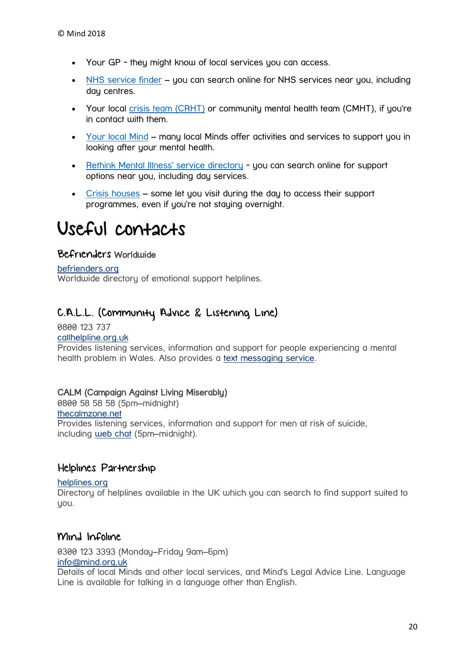- Your GP they might know of local services you can access.
- [NHS service finder](http://www.nhs.uk/service-search) you can search online for NHS services near you, including day centres.
- Your local [crisis team \(CRHT\)](https://www.mind.org.uk/information-support/guides-to-support-and-services/crisis-services/crisis-teams-crhts/) or community mental health team (CMHT), if you're in contact with them.
- [Your local Mind](https://www.mind.org.uk/information-support/local-minds/) many local Minds offer activities and services to support you in looking after your mental health.
- [Rethink Mental Illness' service directory](https://www.rethink.org/services-groups) you can search online for support options near you, including day services.
- [Crisis houses](https://www.mind.org.uk/information-support/guides-to-support-and-services/crisis-services/crisis-houses/) some let you visit during the day to access their support programmes, even if you're not staying overnight.

## <span id="page-19-0"></span>Useful contacts

#### Befrienders Worldwide

#### [befrienders.org](https://www.befrienders.org/)

Worldwide directory of emotional support helplines.

#### C.A.L.L. (Community Advice & Listening Line)

0800 123 737 [callhelpline.org.uk](http://www.callhelpline.org.uk/)

Provides listening services, information and support for people experiencing a mental health problem in Wales. Also provides a [text messaging service.](http://www.callhelpline.org.uk/TextService.asp)

#### CALM (Campaign Against Living Miserably)

0800 58 58 58 (5pm–midnight) [thecalmzone.net](https://www.thecalmzone.net/) Provides listening services, information and support for men at risk of suicide, including [web chat](https://www.thecalmzone.net/help/webchat/) (5pm–midnight).

#### Helplines Partnership

#### [helplines.org](https://helplines.org/)

Directory of helplines available in the UK which you can search to find support suited to you.

#### Mind Infoline

0300 123 3393 (Monday–Friday 9am–6pm) [info@mind.org.uk](mailto:info@mind.org.uk)

Details of local Minds and other local services, and Mind's Legal Advice Line. Language Line is available for talking in a language other than English.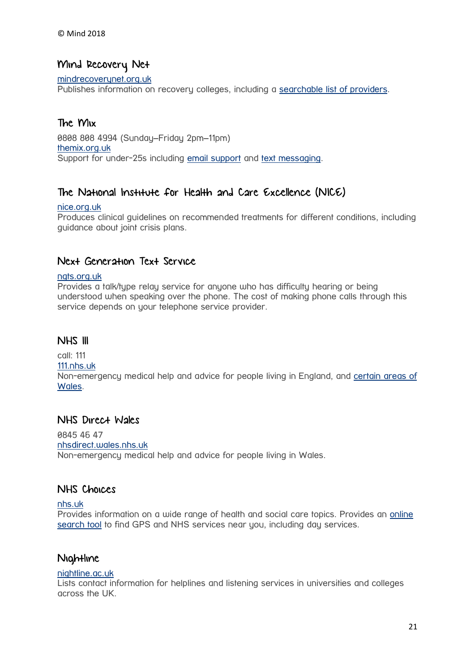#### Mind Recovery Net

#### [mindrecoverynet.org.uk](http://mindrecoverynet.org.uk/)

Publishes information on recovery colleges, including a [searchable list of providers.](http://mindrecoverynet.org.uk/providers)

#### The Mix

0808 808 4994 (Sunday–Friday 2pm–11pm) [themix.org.uk](https://www.themix.org.uk/) Support for under-25s including [email support](https://www.themix.org.uk/get-support/speak-to-our-team/email-us) and [text messaging.](https://www.themix.org.uk/get-support/speak-to-our-team/crisis-messenger)

#### The National Institute for Health and Care Excellence (NICE)

#### [nice.org.uk](http://www.nice.org.uk/)

Produces clinical guidelines on recommended treatments for different conditions, including guidance about joint crisis plans.

#### Next Generation Text Service

#### [ngts.org.uk](http://ngts.org.uk/)

Provides a talk/tupe relay service for anyone who has difficulty hearing or being understood when speaking over the phone. The cost of making phone calls through this service depends on your telephone service provider.

#### **NHS III**

call: 111 [111.nhs.uk](https://111.nhs.uk/) Non-emergency medical help and advice for people living in England, and [certain areas of](http://www.nhsdirect.wales.nhs.uk/aboutus/whatisnhsdirectwales/) [Wales.](http://www.nhsdirect.wales.nhs.uk/aboutus/whatisnhsdirectwales/)

#### NHS Direct Wales

0845 46 47 [nhsdirect.wales.nhs.uk](http://www.nhsdirect.wales.nhs.uk/) Non-emergency medical help and advice for people living in Wales.

#### NHS Choices

#### [nhs.uk](http://www.nhs.uk/Pages/HomePage.aspx)

Provides information on a wide range of health and social care topics. Provides an [online](http://www.nhs.uk/Service-Search)  [search tool](http://www.nhs.uk/Service-Search) to find GPS and NHS services near you, including day services.

#### **Nightline**

#### [nightline.ac.uk](http://nightline.ac.uk/)

Lists contact information for helplines and listening services in universities and colleges across the UK.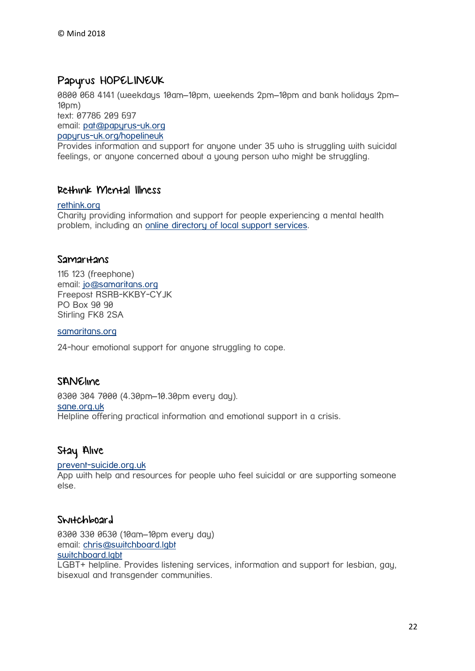#### Papyrus HOPELINEUK

0800 068 4141 (weekdays 10am–10pm, weekends 2pm–10pm and bank holidays 2pm–  $10$ pm $)$ 

text: 07786 209 697

email: [pat@papyrus-uk.org](mailto:pat@papyrus-uk.org)

[papyrus-uk.org/hopelineuk](https://papyrus-uk.org/hopelineuk/)

Provides information and support for anyone under 35 who is struggling with suicidal feelings, or anyone concerned about a young person who might be struggling.

#### Rethink Mental Illness

#### [rethink.org](https://www.rethink.org/)

Charity providing information and support for people experiencing a mental health problem, including an [online directory of local support services.](https://www.rethink.org/services-groups)

#### Samar<sub>Hans</sub>

116 123 (freephone) email: [jo@samaritans.org](mailto:jo@samaritans.org) Freepost RSRB-KKBY-CYJK PO Box 90 90 Stirling FK8 2SA

[samaritans.org](http://www.samaritans.org/)

24-hour emotional support for anyone struggling to cope.

#### SANEline

0300 304 7000 (4.30pm–10.30pm every day). [sane.org.uk](http://www.sane.org.uk/) Helpline offering practical information and emotional support in a crisis.

#### Stay Alive

#### [prevent-suicide.org.uk](http://prevent-suicide.org.uk/stay_alive_suicide_prevention_mobile_phone_application.html)

App with help and resources for people who feel suicidal or are supporting someone else.

#### Switchboard

0300 330 0630 (10am–10pm every day) email: [chris@switchboard.lgbt](mailto:chris@switchboard.lgbt) [switchboard.lgbt](https://switchboard.lgbt/)

LGBT+ helpline. Provides listening services, information and support for lesbian, gay, bisexual and transgender communities.